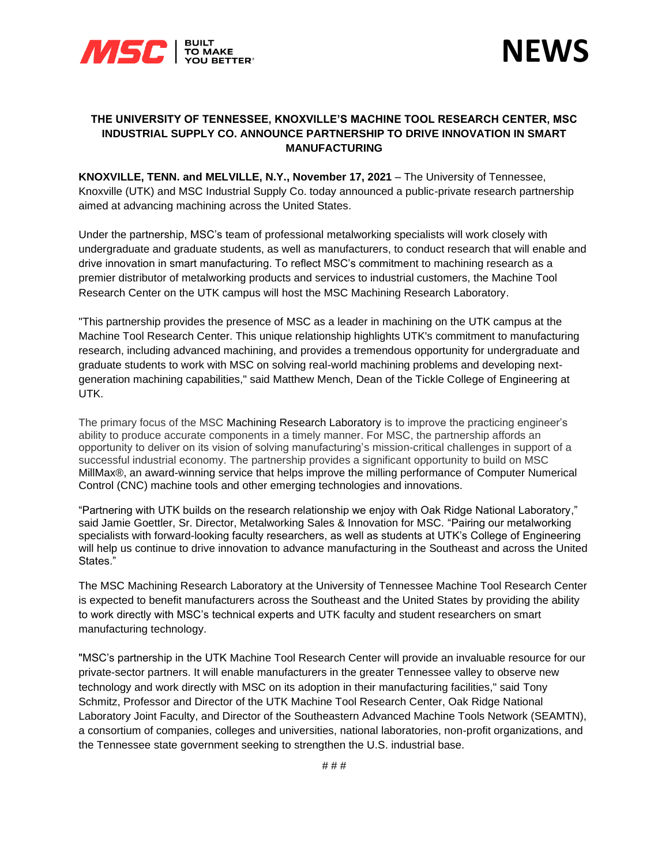



## **THE UNIVERSITY OF TENNESSEE, KNOXVILLE'S MACHINE TOOL RESEARCH CENTER, MSC INDUSTRIAL SUPPLY CO. ANNOUNCE PARTNERSHIP TO DRIVE INNOVATION IN SMART MANUFACTURING**

**KNOXVILLE, TENN. and MELVILLE, N.Y., November 17, 2021** – The University of Tennessee, Knoxville (UTK) and MSC Industrial Supply Co. today announced a public-private research partnership aimed at advancing machining across the United States.

Under the partnership, MSC's team of professional metalworking specialists will work closely with undergraduate and graduate students, as well as manufacturers, to conduct research that will enable and drive innovation in smart manufacturing. To reflect MSC's commitment to machining research as a premier distributor of metalworking products and services to industrial customers, the Machine Tool Research Center on the UTK campus will host the MSC Machining Research Laboratory.

"This partnership provides the presence of MSC as a leader in machining on the UTK campus at the Machine Tool Research Center. This unique relationship highlights UTK's commitment to manufacturing research, including advanced machining, and provides a tremendous opportunity for undergraduate and graduate students to work with MSC on solving real-world machining problems and developing nextgeneration machining capabilities," said Matthew Mench, Dean of the Tickle College of Engineering at UTK.

The primary focus of the MSC Machining Research Laboratory is to improve the practicing engineer's ability to produce accurate components in a timely manner. For MSC, the partnership affords an opportunity to deliver on its vision of solving manufacturing's mission-critical challenges in support of a successful industrial economy. The partnership provides a significant opportunity to build on MSC MillMax®, an award-winning service that helps improve the milling performance of Computer Numerical Control (CNC) machine tools and other emerging technologies and innovations.

"Partnering with UTK builds on the research relationship we enjoy with Oak Ridge National Laboratory," said Jamie Goettler, Sr. Director, Metalworking Sales & Innovation for MSC. "Pairing our metalworking specialists with forward-looking faculty researchers, as well as students at UTK's College of Engineering will help us continue to drive innovation to advance manufacturing in the Southeast and across the United States."

The MSC Machining Research Laboratory at the University of Tennessee Machine Tool Research Center is expected to benefit manufacturers across the Southeast and the United States by providing the ability to work directly with MSC's technical experts and UTK faculty and student researchers on smart manufacturing technology.

"MSC's partnership in the UTK Machine Tool Research Center will provide an invaluable resource for our private-sector partners. It will enable manufacturers in the greater Tennessee valley to observe new technology and work directly with MSC on its adoption in their manufacturing facilities," said Tony Schmitz, Professor and Director of the UTK Machine Tool Research Center, Oak Ridge National Laboratory Joint Faculty, and Director of the Southeastern Advanced Machine Tools Network (SEAMTN), a consortium of companies, colleges and universities, national laboratories, non-profit organizations, and the Tennessee state government seeking to strengthen the U.S. industrial base.